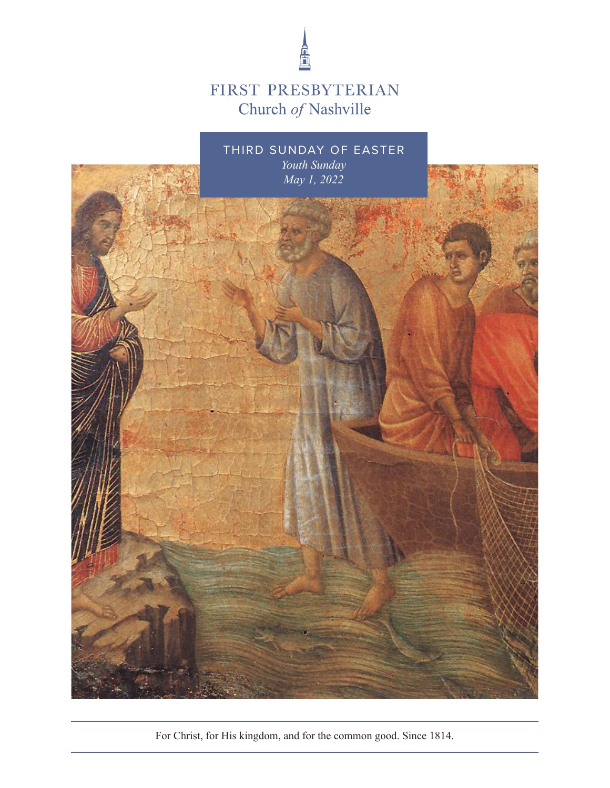

# FIRST PRESBYTERIAN Church of Nashville

# THIRD SUNDAY OF EASTER *Youth Sunday*



For Christ, for His kingdom, and for the common good. Since 1814.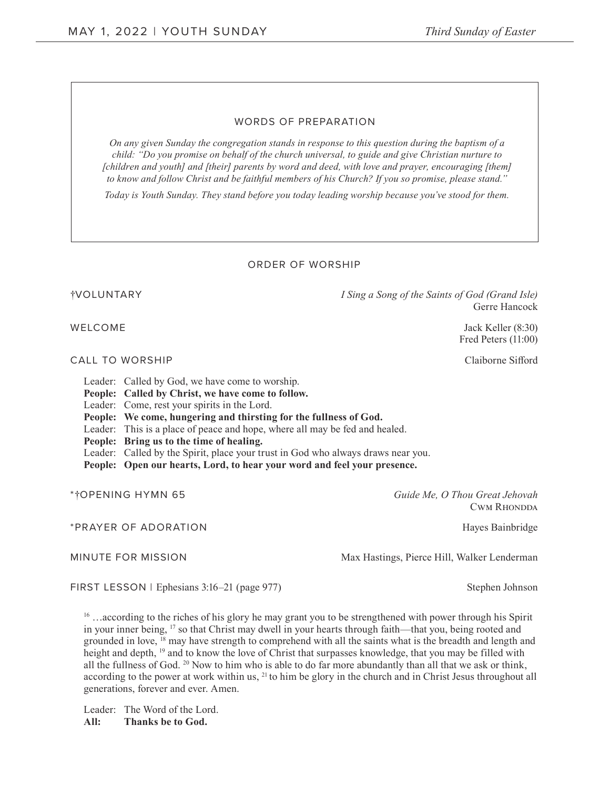### WORDS OF PREPARATION

*On any given Sunday the congregation stands in response to this question during the baptism of a child: "Do you promise on behalf of the church universal, to guide and give Christian nurture to*  [children and youth] and [their] parents by word and deed, with love and prayer, encouraging [them] *to know and follow Christ and be faithful members of his Church? If you so promise, please stand."*

*Today is Youth Sunday. They stand before you today leading worship because you've stood for them.*

### ORDER OF WORSHIP

### CALL TO WORSHIP Claiborne Sifford

- Leader: Called by God, we have come to worship.
- **People: Called by Christ, we have come to follow.**
- Leader: Come, rest your spirits in the Lord.
- **People: We come, hungering and thirsting for the fullness of God.**
- Leader: This is a place of peace and hope, where all may be fed and healed.
- **People: Bring us to the time of healing.**
- Leader: Called by the Spirit, place your trust in God who always draws near you.
- **People: Open our hearts, Lord, to hear your word and feel your presence.**

| *†OPENING HYMN 65                           | Guide Me, O Thou Great Jehovah<br><b>CWM RHONDDA</b> |
|---------------------------------------------|------------------------------------------------------|
| *PRAYER OF ADORATION                        | Hayes Bainbridge                                     |
| <b>MINUTE FOR MISSION</b>                   | Max Hastings, Pierce Hill, Walker Lenderman          |
| FIRST LESSON   Ephesians 3:16–21 (page 977) | Stephen Johnson                                      |

<sup>16</sup> ... according to the riches of his glory he may grant you to be strengthened with power through his Spirit in your inner being, 17 so that Christ may dwell in your hearts through faith—that you, being rooted and grounded in love, <sup>18</sup> may have strength to comprehend with all the saints what is the breadth and length and height and depth, <sup>19</sup> and to know the love of Christ that surpasses knowledge, that you may be filled with all the fullness of God. 20 Now to him who is able to do far more abundantly than all that we ask or think, according to the power at work within us, <sup>21</sup> to him be glory in the church and in Christ Jesus throughout all generations, forever and ever. Amen.

Leader: The Word of the Lord. **All: Thanks be to God.**

†VOLUNTARY *I Sing a Song of the Saints of God (Grand Isle)*  Gerre Hancock

Fred Peters (11:00)

WELCOME Jack Keller (8:30)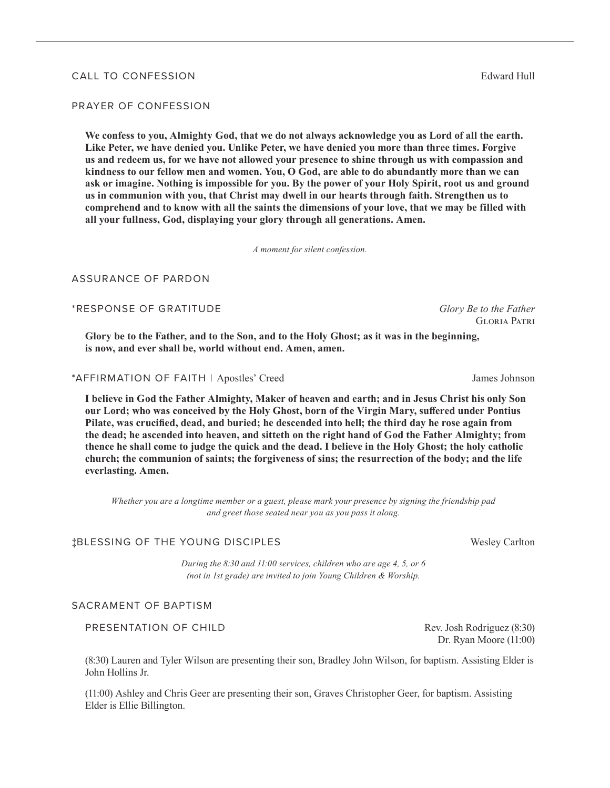### CALL TO CONFESSION EXAMPLE TO CONFESSION

PRAYER OF CONFESSION

**We confess to you, Almighty God, that we do not always acknowledge you as Lord of all the earth. Like Peter, we have denied you. Unlike Peter, we have denied you more than three times. Forgive us and redeem us, for we have not allowed your presence to shine through us with compassion and kindness to our fellow men and women. You, O God, are able to do abundantly more than we can ask or imagine. Nothing is impossible for you. By the power of your Holy Spirit, root us and ground us in communion with you, that Christ may dwell in our hearts through faith. Strengthen us to comprehend and to know with all the saints the dimensions of your love, that we may be filled with all your fullness, God, displaying your glory through all generations. Amen.**

*A moment for silent confession.*

### ASSURANCE OF PARDON

\*RESPONSE OF GRATITUDE *Glory Be to the Father*

**Glory be to the Father, and to the Son, and to the Holy Ghost; as it was in the beginning, is now, and ever shall be, world without end. Amen, amen.** 

\*AFFIRMATION OF FAITH | Apostles' Creed James Johnson

**I believe in God the Father Almighty, Maker of heaven and earth; and in Jesus Christ his only Son our Lord; who was conceived by the Holy Ghost, born of the Virgin Mary, suffered under Pontius Pilate, was crucified, dead, and buried; he descended into hell; the third day he rose again from the dead; he ascended into heaven, and sitteth on the right hand of God the Father Almighty; from thence he shall come to judge the quick and the dead. I believe in the Holy Ghost; the holy catholic church; the communion of saints; the forgiveness of sins; the resurrection of the body; and the life everlasting. Amen.** 

*Whether you are a longtime member or a guest, please mark your presence by signing the friendship pad and greet those seated near you as you pass it along.*

### ‡BLESSING OF THE YOUNG DISCIPLES Wesley Carlton

*During the 8:30 and 11:00 services, children who are age 4, 5, or 6 (not in 1st grade) are invited to join Young Children & Worship.*

### SACRAMENT OF BAPTISM

PRESENTATION OF CHILD Rev. Josh Rodriguez (8:30)

(8:30) Lauren and Tyler Wilson are presenting their son, Bradley John Wilson, for baptism. Assisting Elder is John Hollins Jr.

(11:00) Ashley and Chris Geer are presenting their son, Graves Christopher Geer, for baptism. Assisting Elder is Ellie Billington.

GLORIA PATRI

Dr. Ryan Moore (11:00)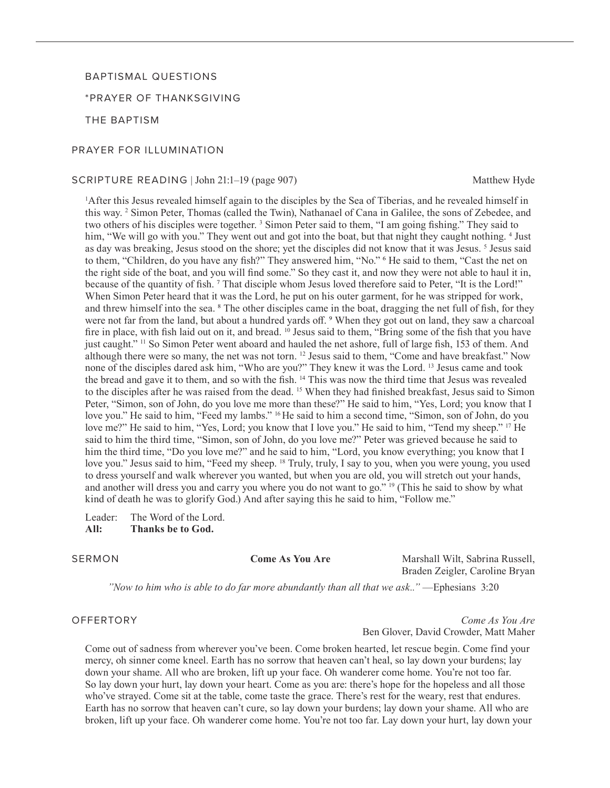### BAPTISMAL QUESTIONS

\*PRAYER OF THANKSGIVING

THE BAPTISM

### PRAYER FOR ILLUMINATION

### SCRIPTURE READING | John 21:1-19 (page 907) Matthew Hyde

1 After this Jesus revealed himself again to the disciples by the Sea of Tiberias, and he revealed himself in this way. 2 Simon Peter, Thomas (called the Twin), Nathanael of Cana in Galilee, the sons of Zebedee, and two others of his disciples were together.<sup>3</sup> Simon Peter said to them, "I am going fishing." They said to him, "We will go with you." They went out and got into the boat, but that night they caught nothing. <sup>4</sup> Just as day was breaking, Jesus stood on the shore; yet the disciples did not know that it was Jesus.<sup>5</sup> Jesus said to them, "Children, do you have any fish?" They answered him, "No." 6 He said to them, "Cast the net on the right side of the boat, and you will find some." So they cast it, and now they were not able to haul it in, because of the quantity of fish. 7 That disciple whom Jesus loved therefore said to Peter, "It is the Lord!" When Simon Peter heard that it was the Lord, he put on his outer garment, for he was stripped for work, and threw himself into the sea. <sup>8</sup> The other disciples came in the boat, dragging the net full of fish, for they were not far from the land, but about a hundred yards off. <sup>9</sup> When they got out on land, they saw a charcoal fire in place, with fish laid out on it, and bread. <sup>10</sup> Jesus said to them, "Bring some of the fish that you have just caught." <sup>11</sup> So Simon Peter went aboard and hauled the net ashore, full of large fish, 153 of them. And although there were so many, the net was not torn. 12 Jesus said to them, "Come and have breakfast." Now none of the disciples dared ask him, "Who are you?" They knew it was the Lord. 13 Jesus came and took the bread and gave it to them, and so with the fish. <sup>14</sup> This was now the third time that Jesus was revealed to the disciples after he was raised from the dead. 15 When they had finished breakfast, Jesus said to Simon Peter, "Simon, son of John, do you love me more than these?" He said to him, "Yes, Lord; you know that I love you." He said to him, "Feed my lambs." 16 He said to him a second time, "Simon, son of John, do you love me?" He said to him, "Yes, Lord; you know that I love you." He said to him, "Tend my sheep." 17 He said to him the third time, "Simon, son of John, do you love me?" Peter was grieved because he said to him the third time, "Do you love me?" and he said to him, "Lord, you know everything; you know that I love you." Jesus said to him, "Feed my sheep. <sup>18</sup> Truly, truly, I say to you, when you were young, you used to dress yourself and walk wherever you wanted, but when you are old, you will stretch out your hands, and another will dress you and carry you where you do not want to go."<sup>19</sup> (This he said to show by what kind of death he was to glorify God.) And after saying this he said to him, "Follow me."

Leader: The Word of the Lord. **All: Thanks be to God.** 

SERMON **Come As You Are** Marshall Wilt, Sabrina Russell, Braden Zeigler, Caroline Bryan

*"Now to him who is able to do far more abundantly than all that we ask.."* —Ephesians 3:20

OFFERTORY *Come As You Are*  Ben Glover, David Crowder, Matt Maher

Come out of sadness from wherever you've been. Come broken hearted, let rescue begin. Come find your mercy, oh sinner come kneel. Earth has no sorrow that heaven can't heal, so lay down your burdens; lay down your shame. All who are broken, lift up your face. Oh wanderer come home. You're not too far. So lay down your hurt, lay down your heart. Come as you are: there's hope for the hopeless and all those who've strayed. Come sit at the table, come taste the grace. There's rest for the weary, rest that endures. Earth has no sorrow that heaven can't cure, so lay down your burdens; lay down your shame. All who are broken, lift up your face. Oh wanderer come home. You're not too far. Lay down your hurt, lay down your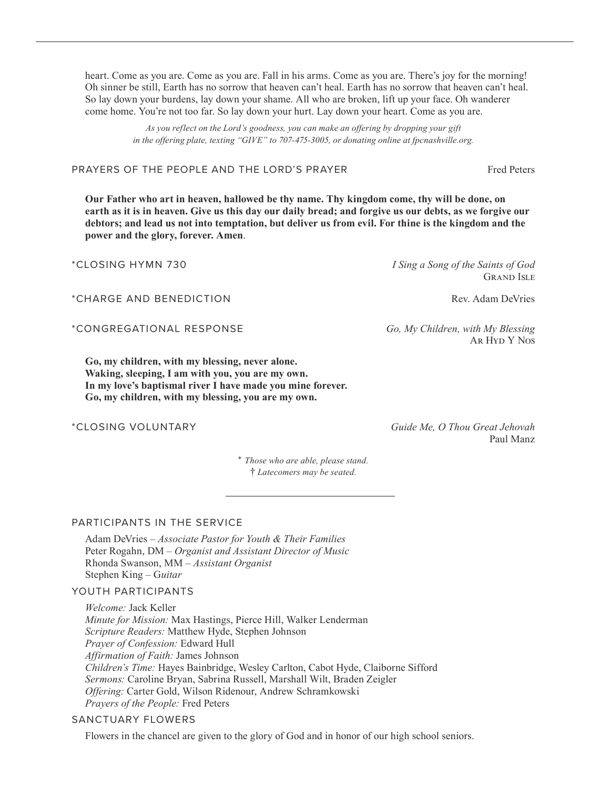heart. Come as you are. Come as you are. Fall in his arms. Come as you are. There's joy for the morning! Oh sinner be still, Earth has no sorrow that heaven can't heal. Earth has no sorrow that heaven can't heal. So lay down your burdens, lay down your shame. All who are broken, lift up your face. Oh wanderer come home. You're not too far. So lay down your hurt. Lay down your heart. Come as you are.

> *As you reflect on the Lord's goodness, you can make an offering by dropping your gift in the offering plate, texting "GIVE" to 707-475-3005, or donating online at fpcnashville.org.*

## PRAYERS OF THE PEOPLE AND THE LORD'S PRAYER FRED Fred Peters

**Our Father who art in heaven, hallowed be thy name. Thy kingdom come, thy will be done, on earth as it is in heaven. Give us this day our daily bread; and forgive us our debts, as we forgive our debtors; and lead us not into temptation, but deliver us from evil. For thine is the kingdom and the power and the glory, forever. Amen**.

\*CLOSING HYMN 730 *I Sing a Song of the Saints of God*

\*CHARGE AND BENEDICTION Rev. Adam DeVries

\*CONGREGATIONAL RESPONSE *Go, My Children, with My Blessing* 

**Go, my children, with my blessing, never alone. Waking, sleeping, I am with you, you are my own. In my love's baptismal river I have made you mine forever. Go, my children, with my blessing, you are my own.**

\*CLOSING VOLUNTARY *Guide Me, O Thou Great Jehovah*

Ar Hyd Y Nos

GRAND ISLE

Paul Manz

\* *Those who are able, please stand.* † *Latecomers may be seated.*

### PARTICIPANTS IN THE SERVICE

Adam DeVries – *Associate Pastor for Youth & Their Families* Peter Rogahn, DM – *Organist and Assistant Director of Music* Rhonda Swanson, MM – *Assistant Organist* Stephen King – G*uitar* 

### YOUTH PARTICIPANTS

*Welcome:* Jack Keller *Minute for Mission:* Max Hastings, Pierce Hill, Walker Lenderman *Scripture Readers:* Matthew Hyde, Stephen Johnson *Prayer of Confession:* Edward Hull *Affirmation of Faith:* James Johnson *Children's Time:* Hayes Bainbridge, Wesley Carlton, Cabot Hyde, Claiborne Sifford *Sermons:* Caroline Bryan, Sabrina Russell, Marshall Wilt, Braden Zeigler *Offering:* Carter Gold, Wilson Ridenour, Andrew Schramkowski *Prayers of the People:* Fred Peters

## SANCTUARY FLOWERS

Flowers in the chancel are given to the glory of God and in honor of our high school seniors.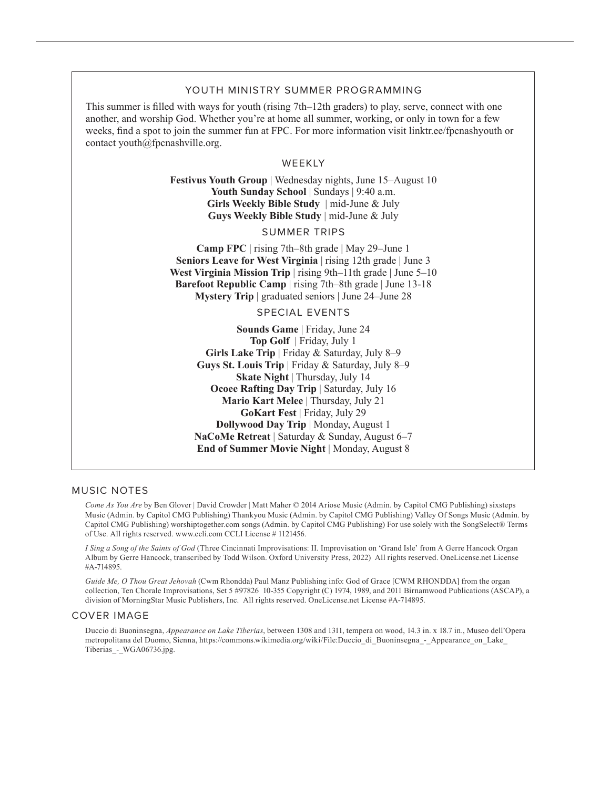### YOUTH MINISTRY SUMMER PROGRAMMING

This summer is filled with ways for youth (rising 7th–12th graders) to play, serve, connect with one another, and worship God. Whether you're at home all summer, working, or only in town for a few weeks, find a spot to join the summer fun at FPC. For more information visit linktr.ee/fpcnashyouth or contact youth@fpcnashville.org.

### WEEKLY

**Festivus Youth Group** | Wednesday nights, June 15–August 10 **Youth Sunday School** | Sundays | 9:40 a.m. **Girls Weekly Bible Study** | mid-June & July **Guys Weekly Bible Study** | mid-June & July

### SUMMER TRIPS

**Camp FPC** | rising 7th–8th grade | May 29–June 1 **Seniors Leave for West Virginia** | rising 12th grade | June 3 **West Virginia Mission Trip** | rising 9th–11th grade | June 5–10 **Barefoot Republic Camp** | rising 7th–8th grade | June 13-18 **Mystery Trip** | graduated seniors | June 24–June 28

### SPECIAL EVENTS

**Sounds Game** | Friday, June 24 **Top Golf** | Friday, July 1 **Girls Lake Trip** | Friday & Saturday, July 8–9 **Guys St. Louis Trip** | Friday & Saturday, July 8–9 **Skate Night** | Thursday, July 14 **Ocoee Rafting Day Trip** | Saturday, July 16 **Mario Kart Melee** | Thursday, July 21 **GoKart Fest** | Friday, July 29 **Dollywood Day Trip** | Monday, August 1 **NaCoMe Retreat** | Saturday & Sunday, August 6–7 **End of Summer Movie Night** | Monday, August 8

### MUSIC NOTES

*Come As You Are* by Ben Glover | David Crowder | Matt Maher © 2014 Ariose Music (Admin. by Capitol CMG Publishing) sixsteps Music (Admin. by Capitol CMG Publishing) Thankyou Music (Admin. by Capitol CMG Publishing) Valley Of Songs Music (Admin. by Capitol CMG Publishing) worshiptogether.com songs (Admin. by Capitol CMG Publishing) For use solely with the SongSelect® Terms of Use. All rights reserved. www.ccli.com CCLI License # 1121456.

*I Sing a Song of the Saints of God* (Three Cincinnati Improvisations: II. Improvisation on 'Grand Isle' from A Gerre Hancock Organ Album by Gerre Hancock, transcribed by Todd Wilson. Oxford University Press, 2022) All rights reserved. OneLicense.net License #A-714895.

*Guide Me, O Thou Great Jehovah* (Cwm Rhondda) Paul Manz Publishing info: God of Grace [CWM RHONDDA] from the organ collection, Ten Chorale Improvisations, Set 5 #97826 10-355 Copyright (C) 1974, 1989, and 2011 Birnamwood Publications (ASCAP), a division of MorningStar Music Publishers, Inc. All rights reserved. OneLicense.net License #A-714895.

### COVER IMAGE

Duccio di Buoninsegna, *Appearance on Lake Tiberias*, between 1308 and 1311, tempera on wood, 14.3 in. x 18.7 in., Museo dell'Opera metropolitana del Duomo, Sienna, https://commons.wikimedia.org/wiki/File:Duccio\_di\_Buoninsegna\_-\_Appearance\_on\_Lake\_ Tiberias - WGA06736.jpg.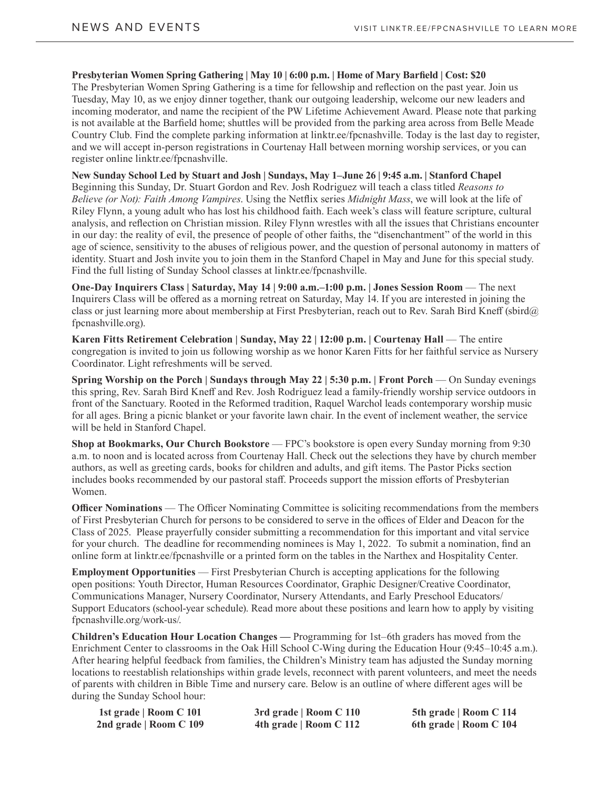### **Presbyterian Women Spring Gathering | May 10 | 6:00 p.m. | Home of Mary Barfield | Cost: \$20**

The Presbyterian Women Spring Gathering is a time for fellowship and reflection on the past year. Join us Tuesday, May 10, as we enjoy dinner together, thank our outgoing leadership, welcome our new leaders and incoming moderator, and name the recipient of the PW Lifetime Achievement Award. Please note that parking is not available at the Barfield home; shuttles will be provided from the parking area across from Belle Meade Country Club. Find the complete parking information at linktr.ee/fpcnashville. Today is the last day to register, and we will accept in-person registrations in Courtenay Hall between morning worship services, or you can register online linktr.ee/fpcnashville.

**New Sunday School Led by Stuart and Josh | Sundays, May 1–June 26 | 9:45 a.m. | Stanford Chapel**  Beginning this Sunday, Dr. Stuart Gordon and Rev. Josh Rodriguez will teach a class titled *Reasons to Believe (or Not): Faith Among Vampires*. Using the Netflix series *Midnight Mass*, we will look at the life of Riley Flynn, a young adult who has lost his childhood faith. Each week's class will feature scripture, cultural analysis, and reflection on Christian mission. Riley Flynn wrestles with all the issues that Christians encounter in our day: the reality of evil, the presence of people of other faiths, the "disenchantment" of the world in this age of science, sensitivity to the abuses of religious power, and the question of personal autonomy in matters of identity. Stuart and Josh invite you to join them in the Stanford Chapel in May and June for this special study. Find the full listing of Sunday School classes at linktr.ee/fpcnashville.

**One-Day Inquirers Class | Saturday, May 14 | 9:00 a.m.–1:00 p.m. | Jones Session Room — The next** Inquirers Class will be offered as a morning retreat on Saturday, May 14. If you are interested in joining the class or just learning more about membership at First Presbyterian, reach out to Rev. Sarah Bird Kneff (sbird@ fpcnashville.org).

**Karen Fitts Retirement Celebration | Sunday, May 22 | 12:00 p.m. | Courtenay Hall — The entire** congregation is invited to join us following worship as we honor Karen Fitts for her faithful service as Nursery Coordinator. Light refreshments will be served.

**Spring Worship on the Porch | Sundays through May 22 | 5:30 p.m. | Front Porch** — On Sunday evenings this spring, Rev. Sarah Bird Kneff and Rev. Josh Rodriguez lead a family-friendly worship service outdoors in front of the Sanctuary. Rooted in the Reformed tradition, Raquel Warchol leads contemporary worship music for all ages. Bring a picnic blanket or your favorite lawn chair. In the event of inclement weather, the service will be held in Stanford Chapel.

**Shop at Bookmarks, Our Church Bookstore** — FPC's bookstore is open every Sunday morning from 9:30 a.m. to noon and is located across from Courtenay Hall. Check out the selections they have by church member authors, as well as greeting cards, books for children and adults, and gift items. The Pastor Picks section includes books recommended by our pastoral staff. Proceeds support the mission efforts of Presbyterian Women.

**Officer Nominations** — The Officer Nominating Committee is soliciting recommendations from the members of First Presbyterian Church for persons to be considered to serve in the offices of Elder and Deacon for the Class of 2025. Please prayerfully consider submitting a recommendation for this important and vital service for your church. The deadline for recommending nominees is May 1, 2022. To submit a nomination, find an online form at linktr.ee/fpcnashville or a printed form on the tables in the Narthex and Hospitality Center.

**Employment Opportunities** — First Presbyterian Church is accepting applications for the following open positions: Youth Director, Human Resources Coordinator, Graphic Designer/Creative Coordinator, Communications Manager, Nursery Coordinator, Nursery Attendants, and Early Preschool Educators/ Support Educators (school-year schedule). Read more about these positions and learn how to apply by visiting fpcnashville.org/work-us/.

**Children's Education Hour Location Changes —** Programming for 1st–6th graders has moved from the Enrichment Center to classrooms in the Oak Hill School C-Wing during the Education Hour (9:45–10:45 a.m.). After hearing helpful feedback from families, the Children's Ministry team has adjusted the Sunday morning locations to reestablish relationships within grade levels, reconnect with parent volunteers, and meet the needs of parents with children in Bible Time and nursery care. Below is an outline of where different ages will be during the Sunday School hour:

| 1st grade   Room C 101 | 3rd grade   Room C 110 | $5th$ g |
|------------------------|------------------------|---------|
| 2nd grade   Room C 109 | 4th grade   Room C 112 | 6th g   |

**5th grade | Room C 114 6th grade | Room C 104**